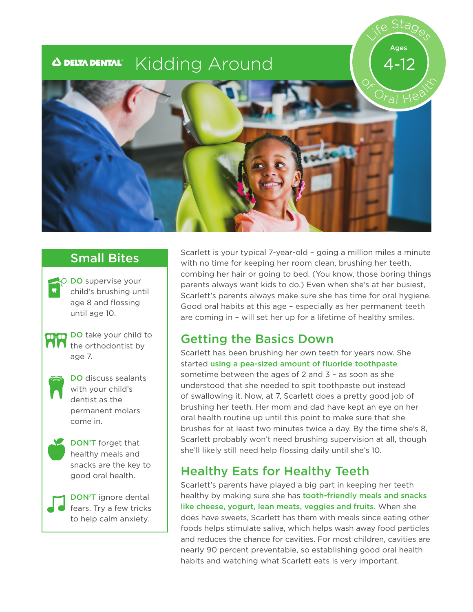#### **Kidding Around A DELTA DENTAL®**



 $\overline{O}$  DO supervise your child's brushing until age 8 and flossing until age 10.



**DO** take your child to  $\overline{M}$  the orthodontist by age 7.



DO discuss sealants with your child's dentist as the permanent molars come in.



DON'T forget that healthy meals and snacks are the key to good oral health.

DON'T ignore dental fears. Try a few tricks to help calm anxiety.

Scarlett is your typical 7-year-old - going a million miles a minute<br>Small Bites Straighter for leasting hoursear also havehing har teath with no time for keeping her room clean, brushing her teeth, combing her hair or going to bed. (You know, those boring things parents always want kids to do.) Even when she's at her busiest, Scarlett's parents always make sure she has time for oral hygiene. Good oral habits at this age – especially as her permanent teeth are coming in – will set her up for a lifetime of healthy smiles.

Life Stages

4-12

Ages

### Getting the Basics Down

Scarlett has been brushing her own teeth for years now. She started using a pea-sized amount of fluoride toothpaste sometime between the ages of 2 and 3 – as soon as she understood that she needed to spit toothpaste out instead of swallowing it. Now, at 7, Scarlett does a pretty good job of brushing her teeth. Her mom and dad have kept an eye on her oral health routine up until this point to make sure that she brushes for at least two minutes twice a day. By the time she's 8, Scarlett probably won't need brushing supervision at all, though she'll likely still need help flossing daily until she's 10.

# Healthy Eats for Healthy Teeth

Scarlett's parents have played a big part in keeping her teeth healthy by making sure she has **tooth-friendly meals and snacks** like cheese, yogurt, lean meats, veggies and fruits. When she does have sweets, Scarlett has them with meals since eating other foods helps stimulate saliva, which helps wash away food particles and reduces the chance for cavities. For most children, cavities are nearly 90 percent preventable, so establishing good oral health habits and watching what Scarlett eats is very important.